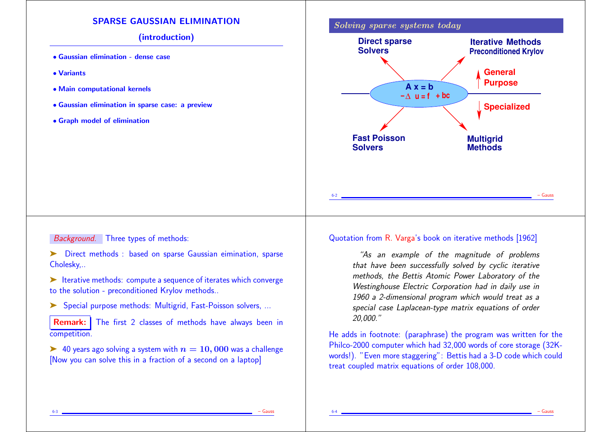## SPARSE GAUSSIAN ELIMINATION

### (introduction)

- Gaussian elimination dense case
- Variants
- Main computational kernels
- Gaussian elimination in sparse case: a preview
- Graph model of elimination



### Background. Three types of methods:

➤ Direct methods : based on sparse Gaussian eimination, sparse Cholesky,..

➤ Iterative methods: compute a sequence of iterates which converge to the solution - preconditioned Krylov methods..

➤ Special purpose methods: Multigrid, Fast-Poisson solvers, ...

**Remark:** The first 2 classes of methods have always been in competition.

 $\blacktriangleright$  40 years ago solving a system with  $n = 10,000$  was a challenge [Now you can solve this in a fraction of a second on a laptop]

### Quotation from R. Varga's book on iterative methods [1962]

"As an example of the magnitude of problems that have been successfully solved by cyclic iterative methods, the Bettis Atomic Power Laboratory of the Westinghouse Electric Corporation had in daily use in 1960 a 2-dimensional program which would treat as a special case Laplacean-type matrix equations of order 20,000."

He adds in footnote: (paraphrase) the program was written for the Philco-2000 computer which had 32,000 words of core storage (32Kwords!). "Even more staggering": Bettis had a 3-D code which could treat coupled matrix equations of order 108,000.

6-3 – Gauss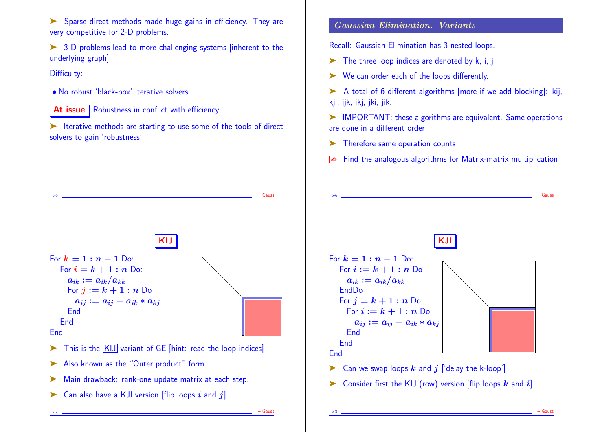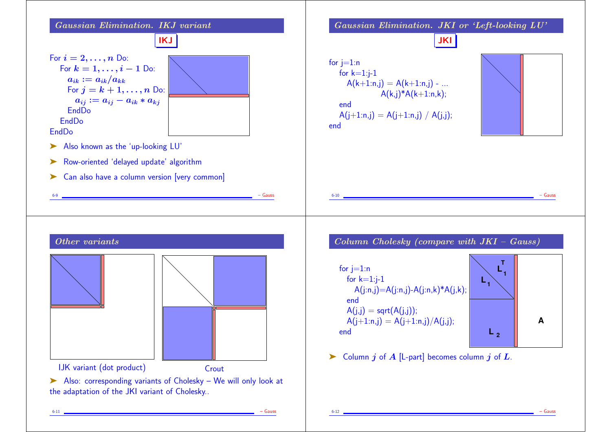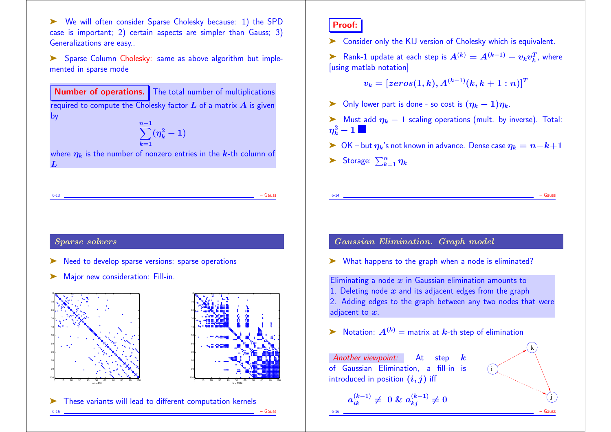➤ We will often consider Sparse Cholesky because: 1) the SPD case is important; 2) certain aspects are simpler than Gauss; 3) Generalizations are easy..

➤ Sparse Column Cholesky: same as above algorithm but implemented in sparse mode

Number of operations. The total number of multiplications required to compute the Cholesky factor  $L$  of a matrix  $A$  is given by

 $\sum^{n-1}(\eta_k^2-1)$  $k=1$ 

where  $\eta_k$  is the number of nonzero entries in the k-th column of  $L$ 

# Proof:

➤ Consider only the KIJ version of Cholesky which is equivalent.

► Rank-1 update at each step is  $A^{(k)} = A^{(k-1)} - v_kv_k^T$ ,  $\frac{T}{k}$ , where [using matlab notation]

$$
v_k=[zeros(1,k),A^{(k-1)}(k,k+1:n)]^T\\
$$

- ► Only lower part is done so cost is  $(\eta_k 1)\eta_k$ .
- $\triangleright$  Must add  $\eta_k 1$  scaling operations (mult. by inverse). Total:  $\boldsymbol{\eta_{k}^2} - 1$  .
- ► OK but  $\eta_k$ 's not known in advance. Dense case  $\eta_k = n k + 1$

6-14 – Gauss

Storage:  $\sum_{k=1}^n \eta_k$ 

6-13 – Gauss

## Sparse solvers

- Need to develop sparse versions: sparse operations
- ▶ Major new consideration: Fill-in.







## Gaussian Elimination. Graph model

➤ What happens to the graph when a node is eliminated?

Eliminating a node  $x$  in Gaussian elimination amounts to 1. Deleting node  $x$  and its adjacent edges from the graph 2. Adding edges to the graph between any two nodes that were adjacent to  $x$ .

 $\blacktriangleright$  Notation:  $A^{(k)} =$  matrix at  $k$ -th step of elimination

Another viewpoint: At step of Gaussian Elimination, a fill-in is introduced in position  $(i, j)$  iff  $a_{ik}^{(k-1)} \neq ~0 ~\&~ a_{kj}^{(k-1)} \neq 0$ i k) 6-16 – Gauss

j)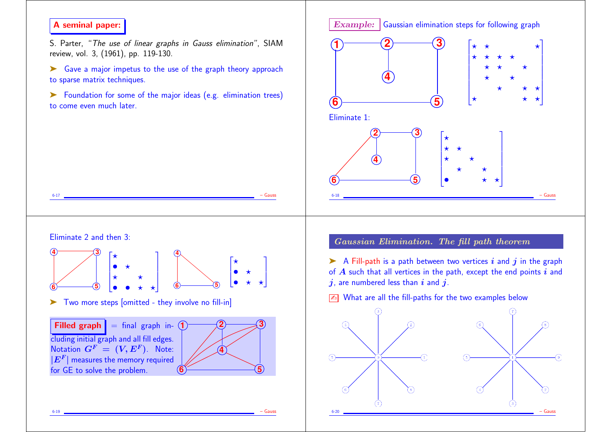# A seminal paper:

S. Parter, "The use of linear graphs in Gauss elimination", SIAM review, vol. 3, (1961), pp. 119-130.

➤ Gave a major impetus to the use of the graph theory approach to sparse matrix techniques.

➤ Foundation for some of the major ideas (e.g. elimination trees) to come even much later.

6-17 – Gauss





Gaussian Elimination. The fill path theorem

 $\triangleright$  A Fill-path is a path between two vertices i and j in the graph of  $A$  such that all vertices in the path, except the end points  $i$  and  $j$ , are numbered less than  $i$  and  $j$ .

 $\sqrt{2\pi}$  What are all the fill-paths for the two examples below



cluding initial graph and all fill edges. Notation  $\boldsymbol{G}^F~=~(\boldsymbol{V}, \boldsymbol{E}^F).$  Note:  $\lfloor E^{F} \rfloor$  measures the memory required for GE to solve the problem.



6-19 – Gauss